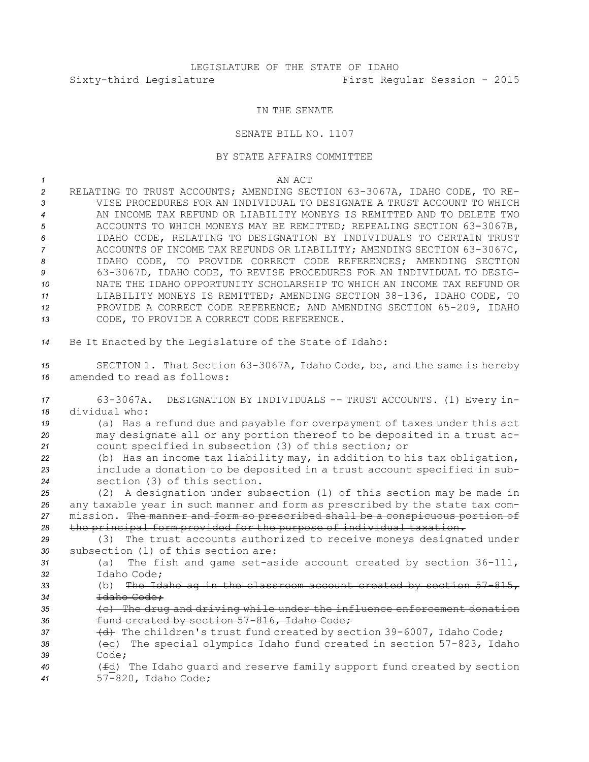## IN THE SENATE

## SENATE BILL NO. 1107

## BY STATE AFFAIRS COMMITTEE

*1* AN ACT RELATING TO TRUST ACCOUNTS; AMENDING SECTION 63-3067A, IDAHO CODE, TO RE- VISE PROCEDURES FOR AN INDIVIDUAL TO DESIGNATE A TRUST ACCOUNT TO WHICH AN INCOME TAX REFUND OR LIABILITY MONEYS IS REMITTED AND TO DELETE TWO ACCOUNTS TO WHICH MONEYS MAY BE REMITTED; REPEALING SECTION 63-3067B, IDAHO CODE, RELATING TO DESIGNATION BY INDIVIDUALS TO CERTAIN TRUST ACCOUNTS OF INCOME TAX REFUNDS OR LIABILITY; AMENDING SECTION 63-3067C, IDAHO CODE, TO PROVIDE CORRECT CODE REFERENCES; AMENDING SECTION 63-3067D, IDAHO CODE, TO REVISE PROCEDURES FOR AN INDIVIDUAL TO DESIG- NATE THE IDAHO OPPORTUNITY SCHOLARSHIP TO WHICH AN INCOME TAX REFUND OR LIABILITY MONEYS IS REMITTED; AMENDING SECTION 38-136, IDAHO CODE, TO PROVIDE A CORRECT CODE REFERENCE; AND AMENDING SECTION 65-209, IDAHO CODE, TO PROVIDE A CORRECT CODE REFERENCE. Be It Enacted by the Legislature of the State of Idaho: SECTION 1. That Section 63-3067A, Idaho Code, be, and the same is hereby amended to read as follows: 63-3067A. DESIGNATION BY INDIVIDUALS -- TRUST ACCOUNTS. (1) Every in- dividual who: (a) Has <sup>a</sup> refund due and payable for overpayment of taxes under this act may designate all or any portion thereof to be deposited in <sup>a</sup> trust ac- count specified in subsection (3) of this section; or (b) Has an income tax liability may, in addition to his tax obligation, include <sup>a</sup> donation to be deposited in <sup>a</sup> trust account specified in sub- section (3) of this section. (2) <sup>A</sup> designation under subsection (1) of this section may be made in any taxable year in such manner and form as prescribed by the state tax com- mission. The manner and form so prescribed shall be <sup>a</sup> conspicuous portion of the principal form provided for the purpose of individual taxation. (3) The trust accounts authorized to receive moneys designated under subsection (1) of this section are: (a) The fish and game set-aside account created by section 36-111, Idaho Code; (b) The Idaho ag in the classroom account created by section 57-815, Idaho Code; (c) The drug and driving while under the influence enforcement donation fund created by section 57-816, Idaho Code; 37 (d) The children's trust fund created by section 39-6007, Idaho Code; (ec) The special olympics Idaho fund created in section 57-823, Idaho *39* Code; (fd) The Idaho guard and reserve family support fund created by section 57-820, Idaho Code;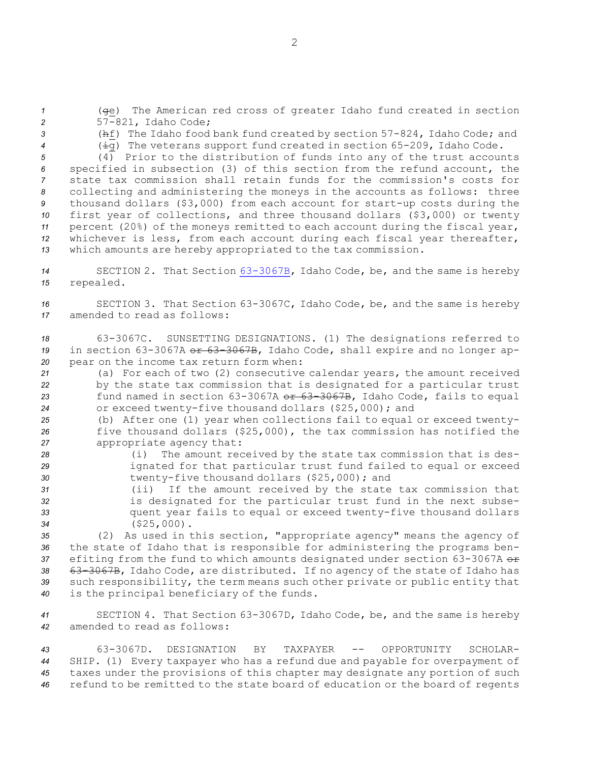*<sup>1</sup>* (ge) The American red cross of greater Idaho fund created in section *<sup>2</sup>* 57-821, Idaho Code;

*<sup>3</sup>* (hf) The Idaho food bank fund created by section 57-824, Idaho Code; and *<sup>4</sup>* (ig) The veterans support fund created in section 65-209, Idaho Code.

 (4) Prior to the distribution of funds into any of the trust accounts specified in subsection (3) of this section from the refund account, the state tax commission shall retain funds for the commission's costs for collecting and administering the moneys in the accounts as follows: three thousand dollars (\$3,000) from each account for start-up costs during the first year of collections, and three thousand dollars (\$3,000) or twenty percent (20%) of the moneys remitted to each account during the fiscal year, whichever is less, from each account during each fiscal year thereafter, which amounts are hereby appropriated to the tax commission.

*<sup>14</sup>* SECTION 2. That Section [63-3067B](http://www.legislature.idaho.gov/idstat/Title63/T63CH30SECT63-3067B.htm), Idaho Code, be, and the same is hereby *<sup>15</sup>* repealed.

*<sup>16</sup>* SECTION 3. That Section 63-3067C, Idaho Code, be, and the same is hereby *17* amended to read as follows:

*<sup>18</sup>* 63-3067C. SUNSETTING DESIGNATIONS. (1) The designations referred to 19 in section 63-3067A or 63-3067B, Idaho Code, shall expire and no longer ap-*<sup>20</sup>* pear on the income tax return form when:

 (a) For each of two (2) consecutive calendar years, the amount received by the state tax commission that is designated for <sup>a</sup> particular trust fund named in section 63-3067A or 63-3067B, Idaho Code, fails to equal or exceed twenty-five thousand dollars (\$25,000); and

*<sup>25</sup>* (b) After one (1) year when collections fail to equal or exceed twenty-*<sup>26</sup>* five thousand dollars (\$25,000), the tax commission has notified the *<sup>27</sup>* appropriate agency that:

- *<sup>28</sup>* (i) The amount received by the state tax commission that is des-*<sup>29</sup>* ignated for that particular trust fund failed to equal or exceed *<sup>30</sup>* twenty-five thousand dollars (\$25,000); and
- *<sup>31</sup>* (ii) If the amount received by the state tax commission that *<sup>32</sup>* is designated for the particular trust fund in the next subse-*<sup>33</sup>* quent year fails to equal or exceed twenty-five thousand dollars *<sup>34</sup>* (\$25,000).

 (2) As used in this section, "appropriate agency" means the agency of the state of Idaho that is responsible for administering the programs ben-37 efiting from the fund to which amounts designated under section 63-3067A or 63-3067B, Idaho Code, are distributed. If no agency of the state of Idaho has such responsibility, the term means such other private or public entity that is the principal beneficiary of the funds.

*<sup>41</sup>* SECTION 4. That Section 63-3067D, Idaho Code, be, and the same is hereby *42* amended to read as follows:

 63-3067D. DESIGNATION BY TAXPAYER -- OPPORTUNITY SCHOLAR- SHIP. (1) Every taxpayer who has <sup>a</sup> refund due and payable for overpayment of taxes under the provisions of this chapter may designate any portion of such refund to be remitted to the state board of education or the board of regents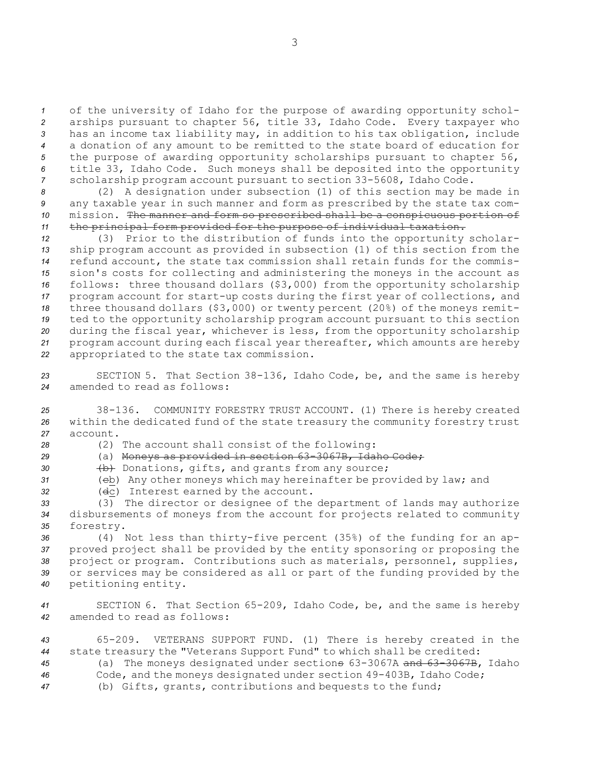of the university of Idaho for the purpose of awarding opportunity schol- arships pursuant to chapter 56, title 33, Idaho Code. Every taxpayer who has an income tax liability may, in addition to his tax obligation, include <sup>a</sup> donation of any amount to be remitted to the state board of education for the purpose of awarding opportunity scholarships pursuant to chapter 56, title 33, Idaho Code. Such moneys shall be deposited into the opportunity scholarship program account pursuant to section 33-5608, Idaho Code.

 (2) <sup>A</sup> designation under subsection (1) of this section may be made in any taxable year in such manner and form as prescribed by the state tax com- mission. The manner and form so prescribed shall be <sup>a</sup> conspicuous portion of the principal form provided for the purpose of individual taxation.

 (3) Prior to the distribution of funds into the opportunity scholar- ship program account as provided in subsection (1) of this section from the refund account, the state tax commission shall retain funds for the commis- sion's costs for collecting and administering the moneys in the account as follows: three thousand dollars (\$3,000) from the opportunity scholarship program account for start-up costs during the first year of collections, and three thousand dollars (\$3,000) or twenty percent (20%) of the moneys remit- ted to the opportunity scholarship program account pursuant to this section during the fiscal year, whichever is less, from the opportunity scholarship program account during each fiscal year thereafter, which amounts are hereby appropriated to the state tax commission.

*<sup>23</sup>* SECTION 5. That Section 38-136, Idaho Code, be, and the same is hereby *24* amended to read as follows:

*<sup>25</sup>* 38-136. COMMUNITY FORESTRY TRUST ACCOUNT. (1) There is hereby created *<sup>26</sup>* within the dedicated fund of the state treasury the community forestry trust *27* account.

- 
- *<sup>28</sup>* (2) The account shall consist of the following:
- *<sup>29</sup>* (a) Moneys as provided in section 63-3067B, Idaho Code;
- 30 (b) Donations, gifts, and grants from any source;
- *<sup>31</sup>* (cb) Any other moneys which may hereinafter be provided by law; and
- *<sup>32</sup>* (dc) Interest earned by the account.

*<sup>33</sup>* (3) The director or designee of the department of lands may authorize *<sup>34</sup>* disbursements of moneys from the account for projects related to community *<sup>35</sup>* forestry.

 (4) Not less than thirty-five percent (35%) of the funding for an ap- proved project shall be provided by the entity sponsoring or proposing the project or program. Contributions such as materials, personnel, supplies, or services may be considered as all or part of the funding provided by the petitioning entity.

*<sup>41</sup>* SECTION 6. That Section 65-209, Idaho Code, be, and the same is hereby *42* amended to read as follows:

 65-209. VETERANS SUPPORT FUND. (1) There is hereby created in the state treasury the "Veterans Support Fund" to which shall be credited: (a) The moneys designated under sections 63-3067A and 63-3067B, Idaho Code, and the moneys designated under section 49-403B, Idaho Code; (b) Gifts, grants, contributions and bequests to the fund;